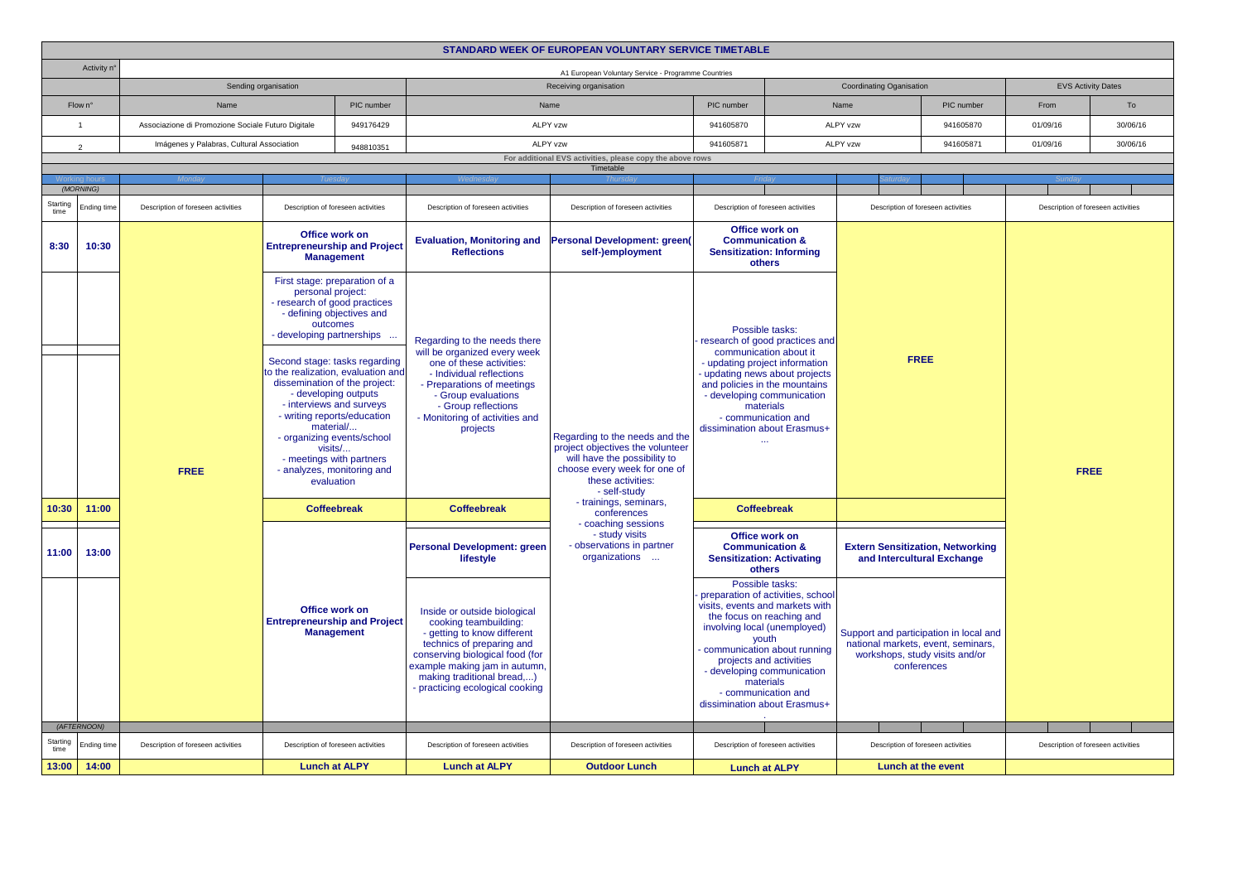| STANDARD WEEK OF EUROPEAN VOLUNTARY SERVICE TIMETABLE |                                                                    |                                           |                                                                                                                                                                                                                                                                                                                                                                                                                                       |           |                                                                                                                                                                                                                                                        |                                                                                                    |                                                                                                                                                                                                                                                                                    |                                                                                                                                                                                                                                                |                                                                                                                               |                                    |                                    |                                    |  |
|-------------------------------------------------------|--------------------------------------------------------------------|-------------------------------------------|---------------------------------------------------------------------------------------------------------------------------------------------------------------------------------------------------------------------------------------------------------------------------------------------------------------------------------------------------------------------------------------------------------------------------------------|-----------|--------------------------------------------------------------------------------------------------------------------------------------------------------------------------------------------------------------------------------------------------------|----------------------------------------------------------------------------------------------------|------------------------------------------------------------------------------------------------------------------------------------------------------------------------------------------------------------------------------------------------------------------------------------|------------------------------------------------------------------------------------------------------------------------------------------------------------------------------------------------------------------------------------------------|-------------------------------------------------------------------------------------------------------------------------------|------------------------------------|------------------------------------|------------------------------------|--|
|                                                       | Activity n°<br>A1 European Voluntary Service - Programme Countries |                                           |                                                                                                                                                                                                                                                                                                                                                                                                                                       |           |                                                                                                                                                                                                                                                        |                                                                                                    |                                                                                                                                                                                                                                                                                    |                                                                                                                                                                                                                                                |                                                                                                                               |                                    |                                    |                                    |  |
|                                                       | Sending organisation                                               |                                           |                                                                                                                                                                                                                                                                                                                                                                                                                                       |           | Receiving organisation                                                                                                                                                                                                                                 |                                                                                                    |                                                                                                                                                                                                                                                                                    |                                                                                                                                                                                                                                                | Coordinating Oganisation                                                                                                      |                                    |                                    | <b>EVS Activity Dates</b>          |  |
|                                                       | Flow n°<br>Name                                                    |                                           | PIC number                                                                                                                                                                                                                                                                                                                                                                                                                            |           | Name                                                                                                                                                                                                                                                   |                                                                                                    | PIC number                                                                                                                                                                                                                                                                         | Name                                                                                                                                                                                                                                           |                                                                                                                               | PIC number                         | From                               | To                                 |  |
|                                                       | $\overline{1}$                                                     |                                           | Associazione di Promozione Sociale Futuro Digitale<br>949176429                                                                                                                                                                                                                                                                                                                                                                       |           |                                                                                                                                                                                                                                                        | ALPY vzw                                                                                           | 941605870                                                                                                                                                                                                                                                                          |                                                                                                                                                                                                                                                | <b>ALPY vzw</b>                                                                                                               | 941605870                          | 01/09/16                           | 30/06/16                           |  |
|                                                       | 2                                                                  | Imágenes y Palabras, Cultural Association |                                                                                                                                                                                                                                                                                                                                                                                                                                       | 948810351 | ALPY vzw                                                                                                                                                                                                                                               |                                                                                                    | 941605871                                                                                                                                                                                                                                                                          | ALPY vzw                                                                                                                                                                                                                                       |                                                                                                                               | 941605871                          | 01/09/16                           | 30/06/16                           |  |
|                                                       |                                                                    |                                           |                                                                                                                                                                                                                                                                                                                                                                                                                                       |           | For additional EVS activities, please copy the above rows<br>Timetable                                                                                                                                                                                 |                                                                                                    |                                                                                                                                                                                                                                                                                    |                                                                                                                                                                                                                                                |                                                                                                                               |                                    |                                    |                                    |  |
|                                                       |                                                                    |                                           |                                                                                                                                                                                                                                                                                                                                                                                                                                       |           |                                                                                                                                                                                                                                                        |                                                                                                    |                                                                                                                                                                                                                                                                                    |                                                                                                                                                                                                                                                |                                                                                                                               |                                    |                                    |                                    |  |
| Starting                                              | (MORNING)                                                          |                                           |                                                                                                                                                                                                                                                                                                                                                                                                                                       |           |                                                                                                                                                                                                                                                        |                                                                                                    |                                                                                                                                                                                                                                                                                    |                                                                                                                                                                                                                                                |                                                                                                                               |                                    |                                    |                                    |  |
|                                                       | Ending time                                                        | Description of foreseen activities        | Description of foreseen activities                                                                                                                                                                                                                                                                                                                                                                                                    |           | Description of foreseen activities                                                                                                                                                                                                                     | Description of foreseen activities                                                                 | Description of foreseen activities                                                                                                                                                                                                                                                 |                                                                                                                                                                                                                                                | Description of foreseen activities                                                                                            |                                    | Description of foreseen activities |                                    |  |
| 8:30                                                  | 10:30                                                              |                                           | Office work on<br><b>Entrepreneurship and Project</b><br><b>Management</b>                                                                                                                                                                                                                                                                                                                                                            |           | <b>Evaluation, Monitoring and</b><br><b>Reflections</b>                                                                                                                                                                                                | Personal Development: green<br>self-)employment                                                    | Office work on<br><b>Communication &amp;</b><br><b>Sensitization: Informing</b><br>others                                                                                                                                                                                          |                                                                                                                                                                                                                                                | <b>FREE</b>                                                                                                                   |                                    |                                    |                                    |  |
|                                                       |                                                                    |                                           | First stage: preparation of a<br>personal project:<br>- research of good practices<br>- defining objectives and<br>outcomes<br>- developing partnerships<br>Second stage: tasks regarding<br>to the realization, evaluation and<br>dissemination of the project:<br>- developing outputs<br>- interviews and surveys<br>- writing reports/education<br>material/<br>- organizing events/school<br>visits/<br>- meetings with partners |           | Regarding to the needs there<br>will be organized every week<br>one of these activities:<br>- Individual reflections<br>- Preparations of meetings<br>- Group evaluations<br>- Group reflections<br>- Monitoring of activities and<br>projects         | Regarding to the needs and the<br>project objectives the volunteer<br>will have the possibility to | Possible tasks:<br>research of good practices and<br>communication about it<br>- updating project information<br>- updating news about projects<br>and policies in the mountains<br>- developing communication<br>materials<br>- communication and<br>dissimination about Erasmus+ |                                                                                                                                                                                                                                                |                                                                                                                               |                                    |                                    |                                    |  |
| 10:30                                                 | 11:00                                                              | <b>FREE</b>                               | - analyzes, monitoring and<br>evaluation                                                                                                                                                                                                                                                                                                                                                                                              |           | <b>Coffeebreak</b>                                                                                                                                                                                                                                     | choose every week for one of<br>these activities:<br>- self-study<br>- trainings, seminars,        |                                                                                                                                                                                                                                                                                    | <b>Coffeebreak</b>                                                                                                                                                                                                                             |                                                                                                                               |                                    | <b>FREE</b>                        |                                    |  |
|                                                       |                                                                    |                                           | <b>Coffeebreak</b><br>Office work on<br><b>Entrepreneurship and Project</b><br><b>Management</b>                                                                                                                                                                                                                                                                                                                                      |           |                                                                                                                                                                                                                                                        | conferences<br>- coaching sessions                                                                 |                                                                                                                                                                                                                                                                                    |                                                                                                                                                                                                                                                |                                                                                                                               |                                    |                                    |                                    |  |
| 11:00                                                 | 13:00                                                              |                                           |                                                                                                                                                                                                                                                                                                                                                                                                                                       |           | <b>Personal Development: green</b><br>lifestyle                                                                                                                                                                                                        | - study visits<br>- observations in partner<br>organizations                                       |                                                                                                                                                                                                                                                                                    | Office work on<br><b>Communication &amp;</b><br><b>Extern Sensitization, Networking</b><br><b>Sensitization: Activating</b><br>and Intercultural Exchange<br>others                                                                            |                                                                                                                               |                                    |                                    |                                    |  |
|                                                       |                                                                    |                                           |                                                                                                                                                                                                                                                                                                                                                                                                                                       |           | Inside or outside biological<br>cooking teambuilding:<br>- getting to know different<br>technics of preparing and<br>conserving biological food (for<br>example making jam in autumn,<br>making traditional bread,)<br>- practicing ecological cooking |                                                                                                    | Possible tasks:<br>the focus on reaching and<br>projects and activities                                                                                                                                                                                                            | preparation of activities, school<br>visits, events and markets with<br>involving local (unemployed)<br>youth<br>communication about running<br>- developing communication<br>materials<br>- communication and<br>dissimination about Erasmus+ | Support and participation in local and<br>national markets, event, seminars,<br>workshops, study visits and/or<br>conferences |                                    |                                    |                                    |  |
|                                                       | (AFTERNOON)                                                        |                                           |                                                                                                                                                                                                                                                                                                                                                                                                                                       |           |                                                                                                                                                                                                                                                        |                                                                                                    |                                                                                                                                                                                                                                                                                    |                                                                                                                                                                                                                                                |                                                                                                                               |                                    |                                    |                                    |  |
| Starting<br>time                                      | Ending time                                                        | Description of foreseen activities        | Description of foreseen activities                                                                                                                                                                                                                                                                                                                                                                                                    |           | Description of foreseen activities                                                                                                                                                                                                                     | Description of foreseen activities                                                                 |                                                                                                                                                                                                                                                                                    | Description of foreseen activities                                                                                                                                                                                                             |                                                                                                                               | Description of foreseen activities |                                    | Description of foreseen activities |  |
| 13:00                                                 | 14:00                                                              |                                           | <b>Lunch at ALPY</b>                                                                                                                                                                                                                                                                                                                                                                                                                  |           | <b>Lunch at ALPY</b>                                                                                                                                                                                                                                   | <b>Outdoor Lunch</b>                                                                               | <b>Lunch at ALPY</b>                                                                                                                                                                                                                                                               |                                                                                                                                                                                                                                                | <b>Lunch at the event</b>                                                                                                     |                                    |                                    |                                    |  |